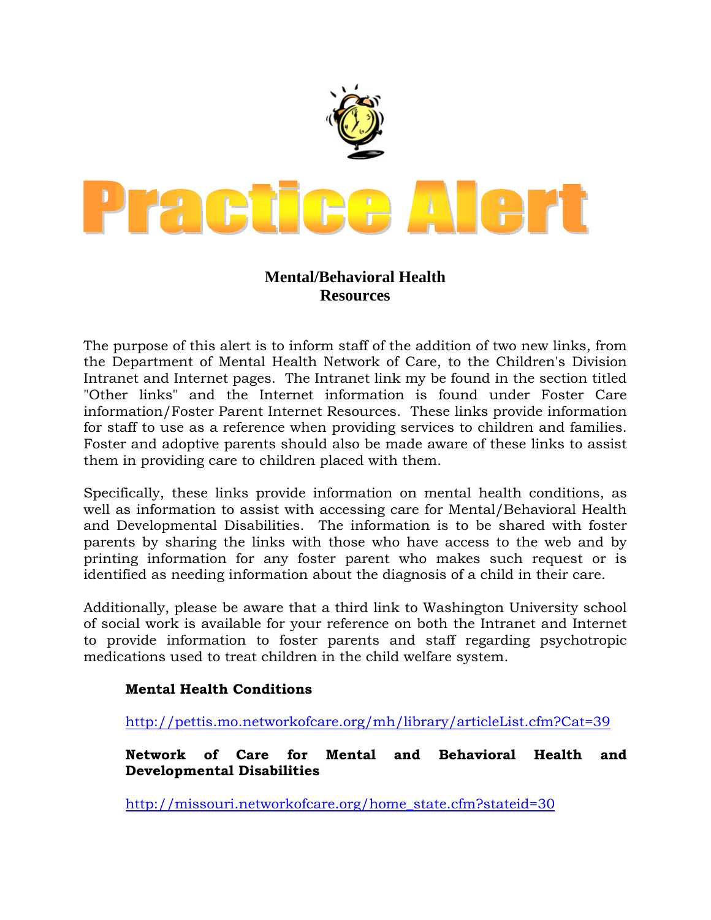

## **Mental/Behavioral Health Resources**

The purpose of this alert is to inform staff of the addition of two new links, from the Department of Mental Health Network of Care, to the Children's Division Intranet and Internet pages. The Intranet link my be found in the section titled "Other links" and the Internet information is found under Foster Care information/Foster Parent Internet Resources. These links provide information for staff to use as a reference when providing services to children and families. Foster and adoptive parents should also be made aware of these links to assist them in providing care to children placed with them.

Specifically, these links provide information on mental health conditions, as well as information to assist with accessing care for Mental/Behavioral Health and Developmental Disabilities. The information is to be shared with foster parents by sharing the links with those who have access to the web and by printing information for any foster parent who makes such request or is identified as needing information about the diagnosis of a child in their care.

Additionally, please be aware that a third link to Washington University school of social work is available for your reference on both the Intranet and Internet to provide information to foster parents and staff regarding psychotropic medications used to treat children in the child welfare system.

## **Mental Health Conditions**

<http://pettis.mo.networkofcare.org/mh/library/articleList.cfm?Cat=39>

**Network of Care for Mental and Behavioral Health and Developmental Disabilities** 

[http://missouri.networkofcare.org/home\\_state.cfm?stateid=30](http://missouri.networkofcare.org/home_state.cfm?stateid=30)